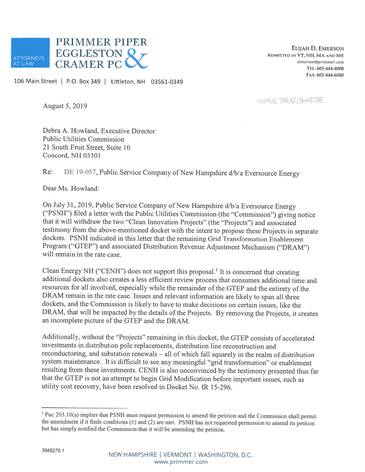

ELIJAH D. EMERsoN ADMIrED IN VT, NH, MA AND ME eemerson@prirnmer.com TEL: 603-444-4008 FAX: 603-444-6040

106 Main Street | P.O. Box 349 | Littleton, NH 03561-0349

NHPHC 7AHG'19AKB136

August 5, 2019

Debra A. Howland, Executive Director Public Utilities Commission 21 South Fruit Street, Suite 10 Concord, NH 03301

Re: DE 19-057, Public Service Company of New Hampshire d/b/a Eversource Energy

Dear Ms. Howland:

On July 31, 2019, Public Service Company of New Hampshire d/b/a Eversource Energy ("PSNH") filed <sup>a</sup> letter with the Public Utilities Commission (the "Commission") <sup>g</sup>iving notice that it will withdraw the two "Clean Innovation Projects" (the "Projects") and associated testimony from the above-mentioned docket with the intent to propose these Projects in separate dockets. PSNH indicated in this letter that the remaining Grid Transformation Enablement Program ("GTEP") and associated Distribution Revenue Adjustment Mechanism ("DRAM") will remain in the rate case.

Clean Energy NH ("CENH") does not support this proposal.<sup>1</sup> It is concerned that creating additional dockets also creates <sup>a</sup> less efficient review process that consumes additional time and resources for all involved, especially while the remainder of the GTEP and the entirety of the DRAM remain in the rate case. Issues and relevant information are likely to span all three dockets, and the Commission is likely to have to make decisions on certain issues, like the DRAM, that will be impacted by the details of the Projects. By removing the Projects, it creates an incomplete picture of the GTEP and the DRAM.

Additionally, without the "Projects" remaining in this docket, the GTEP consists of accelerated investments in distribution pole replacements, distribution line reconstruction and reconductoring, and substation renewals — all of which fall squarely in the realm of distribution system maintenance. It is difficult to see any meaningful "grid transformation" or enablement resulting from these investments. CENH is also unconvinced by the testimony presented thus far that the GTEP is not an attempt to begin Grid Modification before important issues, such as utility cost recovery, have been resolved in Docket No. IR 15-296.

<sup>&</sup>lt;sup>1</sup> Puc 203.10(a) implies that PSNH must request permission to amend the petition and the Commission shall permit the amendment if it finds conditions (1) and (2) are met. PSNH has not requested permission to amend its pe but has simply notified the Commission that it will be amending the petition.